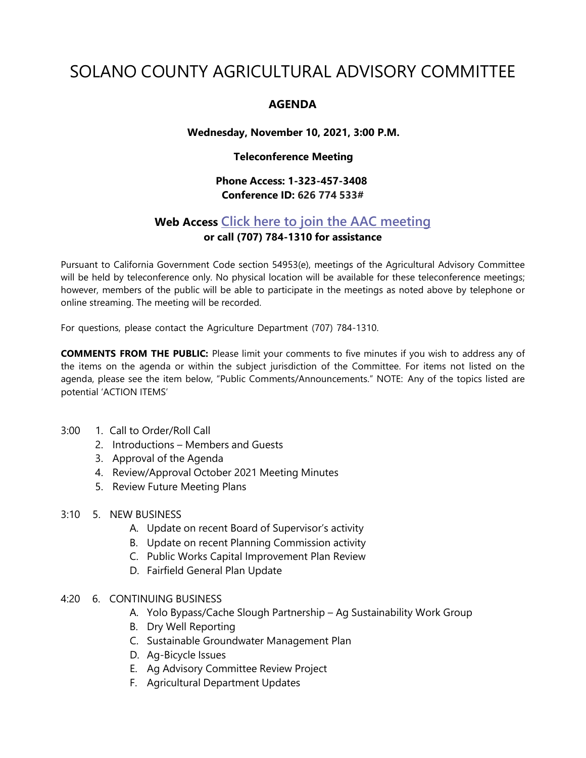# SOLANO COUNTY AGRICULTURAL ADVISORY COMMITTEE

## **AGENDA**

### **Wednesday, November 10, 2021, 3:00 P.M.**

#### **Teleconference Meeting**

## **Phone Access: 1-323-457-3408 Conference ID: 626 774 533#**

# **Web Access Click here to join the AAC [meeting](https://teams.microsoft.com/l/meetup-join/19%3ameeting_MDI1ZDEyYmItY2I4Zi00MWMxLWIxM2ItNzRiYmRmMWY5ZGNk%40thread.v2/0?context=%7b%22Tid%22%3a%225e7f20ac-e5f1-4f83-8c3b-ce44b8486421%22%2c%22Oid%22%3a%229b7e0b10-9feb-4114-92ef-db737a66fd13%22%7d) or call (707) 784-1310 for assistance**

Pursuant to California Government Code section 54953(e), meetings of the Agricultural Advisory Committee will be held by teleconference only. No physical location will be available for these teleconference meetings; however, members of the public will be able to participate in the meetings as noted above by telephone or online streaming. The meeting will be recorded.

For questions, please contact the Agriculture Department (707) 784-1310.

**COMMENTS FROM THE PUBLIC:** Please limit your comments to five minutes if you wish to address any of the items on the agenda or within the subject jurisdiction of the Committee. For items not listed on the agenda, please see the item below, "Public Comments/Announcements." NOTE: Any of the topics listed are potential 'ACTION ITEMS'

- 3:00 1. Call to Order/Roll Call
	- 2. Introductions Members and Guests
	- 3. Approval of the Agenda
	- 4. Review/Approval October 2021 Meeting Minutes
	- 5. Review Future Meeting Plans

#### 3:10 5. NEW BUSINESS

- A. Update on recent Board of Supervisor's activity
- B. Update on recent Planning Commission activity
- C. Public Works Capital Improvement Plan Review
- D. Fairfield General Plan Update
- 4:20 6. CONTINUING BUSINESS
	- A. Yolo Bypass/Cache Slough Partnership Ag Sustainability Work Group
	- B. Dry Well Reporting
	- C. Sustainable Groundwater Management Plan
	- D. Ag-Bicycle Issues
	- E. Ag Advisory Committee Review Project
	- F. Agricultural Department Updates